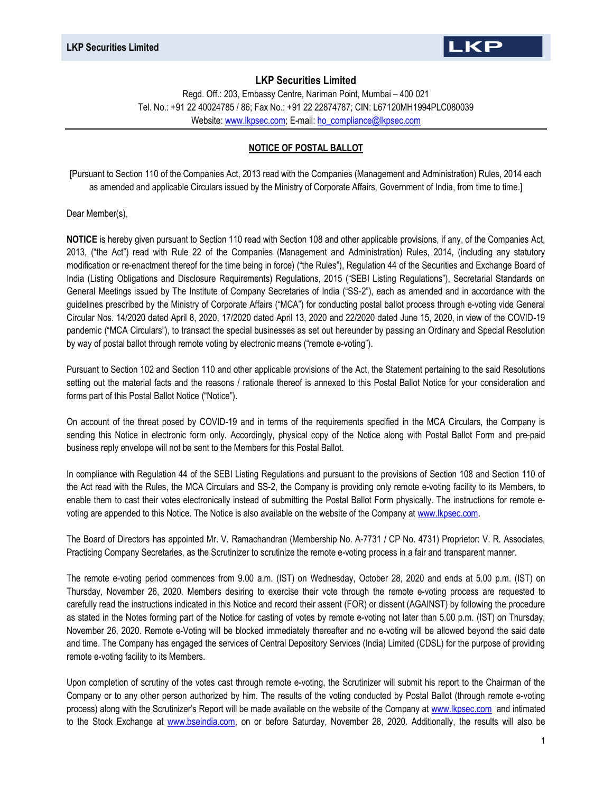

Regd. Off.: 203, Embassy Centre, Nariman Point, Mumbai – 400 021 Tel. No.: +91 22 40024785 / 86; Fax No.: +91 22 22874787; CIN: L67120MH1994PLC080039 Website: www.lkpsec.com; E-mail: ho\_compliance@lkpsec.com

#### NOTICE OF POSTAL BALLOT

[Pursuant to Section 110 of the Companies Act, 2013 read with the Companies (Management and Administration) Rules, 2014 each as amended and applicable Circulars issued by the Ministry of Corporate Affairs, Government of India, from time to time.]

Dear Member(s),

NOTICE is hereby given pursuant to Section 110 read with Section 108 and other applicable provisions, if any, of the Companies Act, 2013, ("the Act") read with Rule 22 of the Companies (Management and Administration) Rules, 2014, (including any statutory modification or re-enactment thereof for the time being in force) ("the Rules"), Regulation 44 of the Securities and Exchange Board of India (Listing Obligations and Disclosure Requirements) Regulations, 2015 ("SEBI Listing Regulations"), Secretarial Standards on General Meetings issued by The Institute of Company Secretaries of India ("SS-2"), each as amended and in accordance with the guidelines prescribed by the Ministry of Corporate Affairs ("MCA") for conducting postal ballot process through e-voting vide General Circular Nos. 14/2020 dated April 8, 2020, 17/2020 dated April 13, 2020 and 22/2020 dated June 15, 2020, in view of the COVID-19 pandemic ("MCA Circulars"), to transact the special businesses as set out hereunder by passing an Ordinary and Special Resolution by way of postal ballot through remote voting by electronic means ("remote e-voting").

Pursuant to Section 102 and Section 110 and other applicable provisions of the Act, the Statement pertaining to the said Resolutions setting out the material facts and the reasons / rationale thereof is annexed to this Postal Ballot Notice for your consideration and forms part of this Postal Ballot Notice ("Notice").

On account of the threat posed by COVID-19 and in terms of the requirements specified in the MCA Circulars, the Company is sending this Notice in electronic form only. Accordingly, physical copy of the Notice along with Postal Ballot Form and pre-paid business reply envelope will not be sent to the Members for this Postal Ballot.

In compliance with Regulation 44 of the SEBI Listing Regulations and pursuant to the provisions of Section 108 and Section 110 of the Act read with the Rules, the MCA Circulars and SS-2, the Company is providing only remote e-voting facility to its Members, to enable them to cast their votes electronically instead of submitting the Postal Ballot Form physically. The instructions for remote evoting are appended to this Notice. The Notice is also available on the website of the Company at www.lkpsec.com.

The Board of Directors has appointed Mr. V. Ramachandran (Membership No. A-7731 / CP No. 4731) Proprietor: V. R. Associates, Practicing Company Secretaries, as the Scrutinizer to scrutinize the remote e-voting process in a fair and transparent manner.

The remote e-voting period commences from 9.00 a.m. (IST) on Wednesday, October 28, 2020 and ends at 5.00 p.m. (IST) on Thursday, November 26, 2020. Members desiring to exercise their vote through the remote e-voting process are requested to carefully read the instructions indicated in this Notice and record their assent (FOR) or dissent (AGAINST) by following the procedure as stated in the Notes forming part of the Notice for casting of votes by remote e-voting not later than 5.00 p.m. (IST) on Thursday, November 26, 2020. Remote e-Voting will be blocked immediately thereafter and no e-voting will be allowed beyond the said date and time. The Company has engaged the services of Central Depository Services (India) Limited (CDSL) for the purpose of providing remote e-voting facility to its Members.

Upon completion of scrutiny of the votes cast through remote e-voting, the Scrutinizer will submit his report to the Chairman of the Company or to any other person authorized by him. The results of the voting conducted by Postal Ballot (through remote e-voting process) along with the Scrutinizer's Report will be made available on the website of the Company at www.lkpsec.com and intimated to the Stock Exchange at www.bseindia.com, on or before Saturday, November 28, 2020. Additionally, the results will also be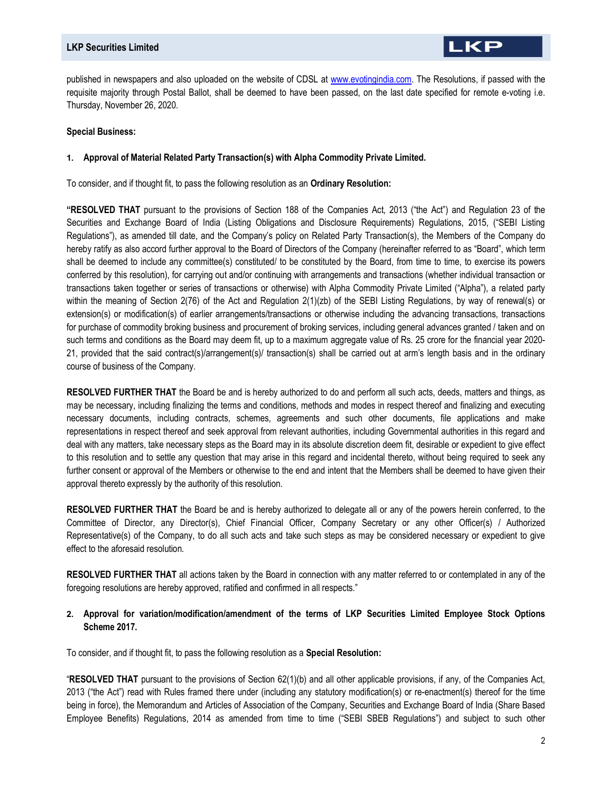published in newspapers and also uploaded on the website of CDSL at www.evotingindia.com. The Resolutions, if passed with the requisite majority through Postal Ballot, shall be deemed to have been passed, on the last date specified for remote e-voting i.e. Thursday, November 26, 2020.

#### Special Business:

#### 1. Approval of Material Related Party Transaction(s) with Alpha Commodity Private Limited.

To consider, and if thought fit, to pass the following resolution as an Ordinary Resolution:

"RESOLVED THAT pursuant to the provisions of Section 188 of the Companies Act, 2013 ("the Act") and Regulation 23 of the Securities and Exchange Board of India (Listing Obligations and Disclosure Requirements) Regulations, 2015, ("SEBI Listing Regulations"), as amended till date, and the Company's policy on Related Party Transaction(s), the Members of the Company do hereby ratify as also accord further approval to the Board of Directors of the Company (hereinafter referred to as "Board", which term shall be deemed to include any committee(s) constituted/ to be constituted by the Board, from time to time, to exercise its powers conferred by this resolution), for carrying out and/or continuing with arrangements and transactions (whether individual transaction or transactions taken together or series of transactions or otherwise) with Alpha Commodity Private Limited ("Alpha"), a related party within the meaning of Section 2(76) of the Act and Regulation 2(1)(zb) of the SEBI Listing Regulations, by way of renewal(s) or extension(s) or modification(s) of earlier arrangements/transactions or otherwise including the advancing transactions, transactions for purchase of commodity broking business and procurement of broking services, including general advances granted / taken and on such terms and conditions as the Board may deem fit, up to a maximum aggregate value of Rs. 25 crore for the financial year 2020- 21, provided that the said contract(s)/arrangement(s)/ transaction(s) shall be carried out at arm's length basis and in the ordinary course of business of the Company.

RESOLVED FURTHER THAT the Board be and is hereby authorized to do and perform all such acts, deeds, matters and things, as may be necessary, including finalizing the terms and conditions, methods and modes in respect thereof and finalizing and executing necessary documents, including contracts, schemes, agreements and such other documents, file applications and make representations in respect thereof and seek approval from relevant authorities, including Governmental authorities in this regard and deal with any matters, take necessary steps as the Board may in its absolute discretion deem fit, desirable or expedient to give effect to this resolution and to settle any question that may arise in this regard and incidental thereto, without being required to seek any further consent or approval of the Members or otherwise to the end and intent that the Members shall be deemed to have given their approval thereto expressly by the authority of this resolution.

RESOLVED FURTHER THAT the Board be and is hereby authorized to delegate all or any of the powers herein conferred, to the Committee of Director, any Director(s), Chief Financial Officer, Company Secretary or any other Officer(s) / Authorized Representative(s) of the Company, to do all such acts and take such steps as may be considered necessary or expedient to give effect to the aforesaid resolution.

RESOLVED FURTHER THAT all actions taken by the Board in connection with any matter referred to or contemplated in any of the foregoing resolutions are hereby approved, ratified and confirmed in all respects."

# 2. Approval for variation/modification/amendment of the terms of LKP Securities Limited Employee Stock Options Scheme 2017.

To consider, and if thought fit, to pass the following resolution as a Special Resolution:

"RESOLVED THAT pursuant to the provisions of Section 62(1)(b) and all other applicable provisions, if any, of the Companies Act, 2013 ("the Act") read with Rules framed there under (including any statutory modification(s) or re-enactment(s) thereof for the time being in force), the Memorandum and Articles of Association of the Company, Securities and Exchange Board of India (Share Based Employee Benefits) Regulations, 2014 as amended from time to time ("SEBI SBEB Regulations") and subject to such other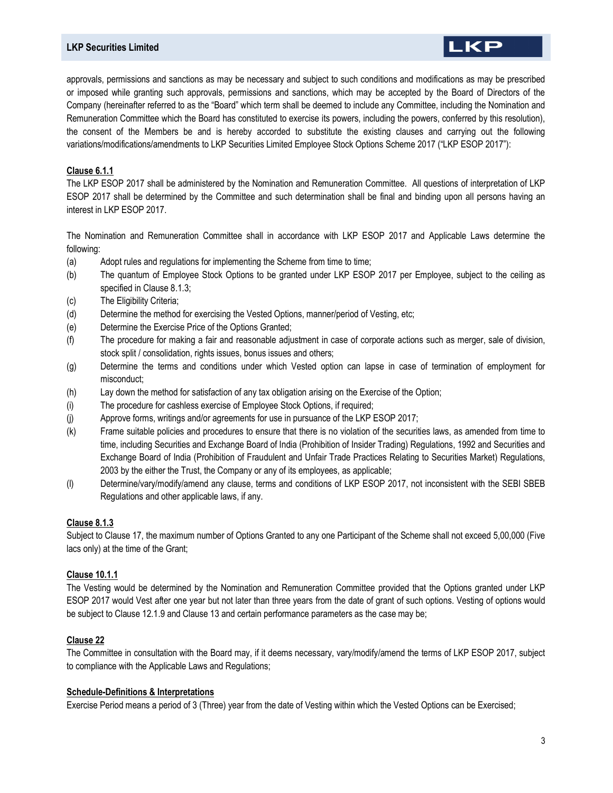# LKP

approvals, permissions and sanctions as may be necessary and subject to such conditions and modifications as may be prescribed or imposed while granting such approvals, permissions and sanctions, which may be accepted by the Board of Directors of the Company (hereinafter referred to as the "Board" which term shall be deemed to include any Committee, including the Nomination and Remuneration Committee which the Board has constituted to exercise its powers, including the powers, conferred by this resolution), the consent of the Members be and is hereby accorded to substitute the existing clauses and carrying out the following variations/modifications/amendments to LKP Securities Limited Employee Stock Options Scheme 2017 ("LKP ESOP 2017"):

# Clause 6.1.1

The LKP ESOP 2017 shall be administered by the Nomination and Remuneration Committee. All questions of interpretation of LKP ESOP 2017 shall be determined by the Committee and such determination shall be final and binding upon all persons having an interest in LKP ESOP 2017.

The Nomination and Remuneration Committee shall in accordance with LKP ESOP 2017 and Applicable Laws determine the following:

- (a) Adopt rules and regulations for implementing the Scheme from time to time;
- (b) The quantum of Employee Stock Options to be granted under LKP ESOP 2017 per Employee, subject to the ceiling as specified in Clause 8.1.3;
- (c) The Eligibility Criteria;
- (d) Determine the method for exercising the Vested Options, manner/period of Vesting, etc;
- (e) Determine the Exercise Price of the Options Granted;
- (f) The procedure for making a fair and reasonable adjustment in case of corporate actions such as merger, sale of division, stock split / consolidation, rights issues, bonus issues and others;
- (g) Determine the terms and conditions under which Vested option can lapse in case of termination of employment for misconduct;
- (h) Lay down the method for satisfaction of any tax obligation arising on the Exercise of the Option;
- (i) The procedure for cashless exercise of Employee Stock Options, if required;
- (j) Approve forms, writings and/or agreements for use in pursuance of the LKP ESOP 2017;
- (k) Frame suitable policies and procedures to ensure that there is no violation of the securities laws, as amended from time to time, including Securities and Exchange Board of India (Prohibition of Insider Trading) Regulations, 1992 and Securities and Exchange Board of India (Prohibition of Fraudulent and Unfair Trade Practices Relating to Securities Market) Regulations, 2003 by the either the Trust, the Company or any of its employees, as applicable;
- (l) Determine/vary/modify/amend any clause, terms and conditions of LKP ESOP 2017, not inconsistent with the SEBI SBEB Regulations and other applicable laws, if any.

# Clause 8.1.3

Subject to Clause 17, the maximum number of Options Granted to any one Participant of the Scheme shall not exceed 5,00,000 (Five lacs only) at the time of the Grant;

# Clause 10.1.1

The Vesting would be determined by the Nomination and Remuneration Committee provided that the Options granted under LKP ESOP 2017 would Vest after one year but not later than three years from the date of grant of such options. Vesting of options would be subject to Clause 12.1.9 and Clause 13 and certain performance parameters as the case may be;

# Clause 22

The Committee in consultation with the Board may, if it deems necessary, vary/modify/amend the terms of LKP ESOP 2017, subject to compliance with the Applicable Laws and Regulations;

#### Schedule-Definitions & Interpretations

Exercise Period means a period of 3 (Three) year from the date of Vesting within which the Vested Options can be Exercised;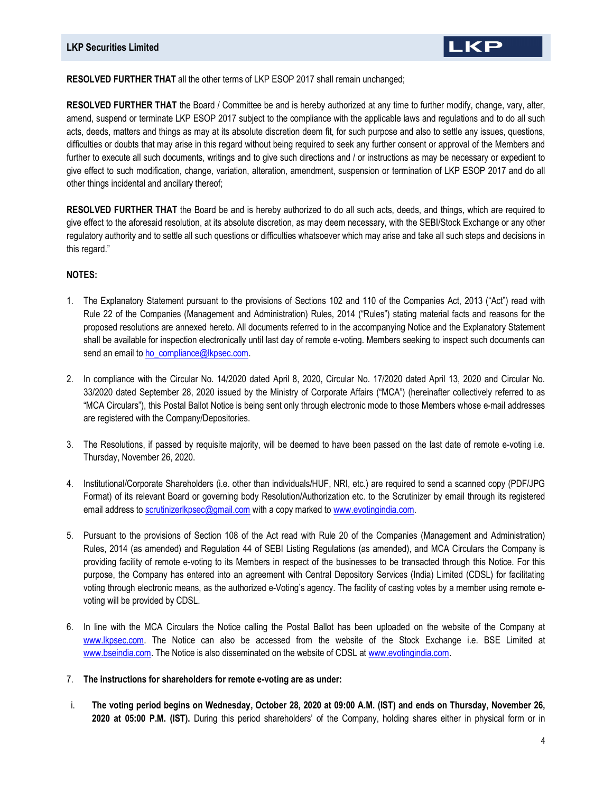

#### RESOLVED FURTHER THAT all the other terms of LKP ESOP 2017 shall remain unchanged;

RESOLVED FURTHER THAT the Board / Committee be and is hereby authorized at any time to further modify, change, vary, alter, amend, suspend or terminate LKP ESOP 2017 subject to the compliance with the applicable laws and regulations and to do all such acts, deeds, matters and things as may at its absolute discretion deem fit, for such purpose and also to settle any issues, questions, difficulties or doubts that may arise in this regard without being required to seek any further consent or approval of the Members and further to execute all such documents, writings and to give such directions and / or instructions as may be necessary or expedient to give effect to such modification, change, variation, alteration, amendment, suspension or termination of LKP ESOP 2017 and do all other things incidental and ancillary thereof;

RESOLVED FURTHER THAT the Board be and is hereby authorized to do all such acts, deeds, and things, which are required to give effect to the aforesaid resolution, at its absolute discretion, as may deem necessary, with the SEBI/Stock Exchange or any other regulatory authority and to settle all such questions or difficulties whatsoever which may arise and take all such steps and decisions in this regard."

#### NOTES:

- 1. The Explanatory Statement pursuant to the provisions of Sections 102 and 110 of the Companies Act, 2013 ("Act") read with Rule 22 of the Companies (Management and Administration) Rules, 2014 ("Rules") stating material facts and reasons for the proposed resolutions are annexed hereto. All documents referred to in the accompanying Notice and the Explanatory Statement shall be available for inspection electronically until last day of remote e-voting. Members seeking to inspect such documents can send an email to ho\_compliance@lkpsec.com.
- 2. In compliance with the Circular No. 14/2020 dated April 8, 2020, Circular No. 17/2020 dated April 13, 2020 and Circular No. 33/2020 dated September 28, 2020 issued by the Ministry of Corporate Affairs ("MCA") (hereinafter collectively referred to as "MCA Circulars"), this Postal Ballot Notice is being sent only through electronic mode to those Members whose e-mail addresses are registered with the Company/Depositories.
- 3. The Resolutions, if passed by requisite majority, will be deemed to have been passed on the last date of remote e-voting i.e. Thursday, November 26, 2020.
- 4. Institutional/Corporate Shareholders (i.e. other than individuals/HUF, NRI, etc.) are required to send a scanned copy (PDF/JPG Format) of its relevant Board or governing body Resolution/Authorization etc. to the Scrutinizer by email through its registered email address to scrutinizerlkpsec@gmail.com with a copy marked to www.evotingindia.com.
- 5. Pursuant to the provisions of Section 108 of the Act read with Rule 20 of the Companies (Management and Administration) Rules, 2014 (as amended) and Regulation 44 of SEBI Listing Regulations (as amended), and MCA Circulars the Company is providing facility of remote e-voting to its Members in respect of the businesses to be transacted through this Notice. For this purpose, the Company has entered into an agreement with Central Depository Services (India) Limited (CDSL) for facilitating voting through electronic means, as the authorized e-Voting's agency. The facility of casting votes by a member using remote evoting will be provided by CDSL.
- 6. In line with the MCA Circulars the Notice calling the Postal Ballot has been uploaded on the website of the Company at www.lkpsec.com. The Notice can also be accessed from the website of the Stock Exchange i.e. BSE Limited at www.bseindia.com. The Notice is also disseminated on the website of CDSL at www.evotingindia.com.
- 7. The instructions for shareholders for remote e-voting are as under:
- i. The voting period begins on Wednesday, October 28, 2020 at 09:00 A.M. (IST) and ends on Thursday, November 26, 2020 at 05:00 P.M. (IST). During this period shareholders' of the Company, holding shares either in physical form or in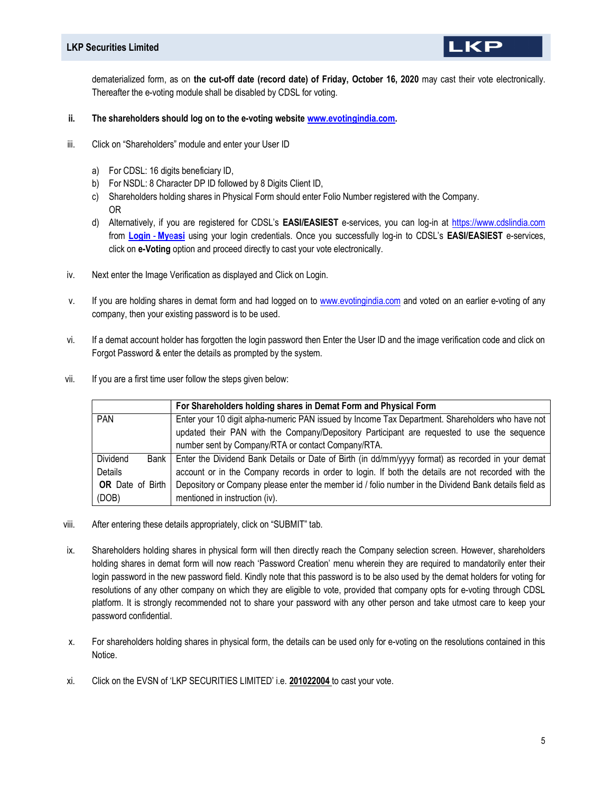dematerialized form, as on the cut-off date (record date) of Friday, October 16, 2020 may cast their vote electronically. Thereafter the e-voting module shall be disabled by CDSL for voting.

.KP

- ii. The shareholders should log on to the e-voting website www.evotingindia.com.
- iii. Click on "Shareholders" module and enter your User ID
	- a) For CDSL: 16 digits beneficiary ID,
	- b) For NSDL: 8 Character DP ID followed by 8 Digits Client ID,
	- c) Shareholders holding shares in Physical Form should enter Folio Number registered with the Company. OR
	- d) Alternatively, if you are registered for CDSL's EASI/EASIEST e-services, you can log-in at https://www.cdslindia.com from Login - Myeasi using your login credentials. Once you successfully log-in to CDSL's EASI/EASIEST e-services, click on e-Voting option and proceed directly to cast your vote electronically.
- iv. Next enter the Image Verification as displayed and Click on Login.
- v. If you are holding shares in demat form and had logged on to www.evotingindia.com and voted on an earlier e-voting of any company, then your existing password is to be used.
- vi. If a demat account holder has forgotten the login password then Enter the User ID and the image verification code and click on Forgot Password & enter the details as prompted by the system.
- vii. If you are a first time user follow the steps given below:

|                                         | For Shareholders holding shares in Demat Form and Physical Form                                       |  |
|-----------------------------------------|-------------------------------------------------------------------------------------------------------|--|
| <b>PAN</b>                              | Enter your 10 digit alpha-numeric PAN issued by Income Tax Department. Shareholders who have not      |  |
|                                         | updated their PAN with the Company/Depository Participant are requested to use the sequence           |  |
|                                         | number sent by Company/RTA or contact Company/RTA.                                                    |  |
| Dividend<br>Bank                        | Enter the Dividend Bank Details or Date of Birth (in dd/mm/yyyy format) as recorded in your demat     |  |
| Details                                 | account or in the Company records in order to login. If both the details are not recorded with the    |  |
| <b>OR</b> Date of Birth                 | Depository or Company please enter the member id / folio number in the Dividend Bank details field as |  |
| mentioned in instruction (iv).<br>(DOB) |                                                                                                       |  |

- viii. After entering these details appropriately, click on "SUBMIT" tab.
- ix. Shareholders holding shares in physical form will then directly reach the Company selection screen. However, shareholders holding shares in demat form will now reach 'Password Creation' menu wherein they are required to mandatorily enter their login password in the new password field. Kindly note that this password is to be also used by the demat holders for voting for resolutions of any other company on which they are eligible to vote, provided that company opts for e-voting through CDSL platform. It is strongly recommended not to share your password with any other person and take utmost care to keep your password confidential.
- x. For shareholders holding shares in physical form, the details can be used only for e-voting on the resolutions contained in this Notice.
- xi. Click on the EVSN of 'LKP SECURITIES LIMITED' i.e. 201022004 to cast your vote.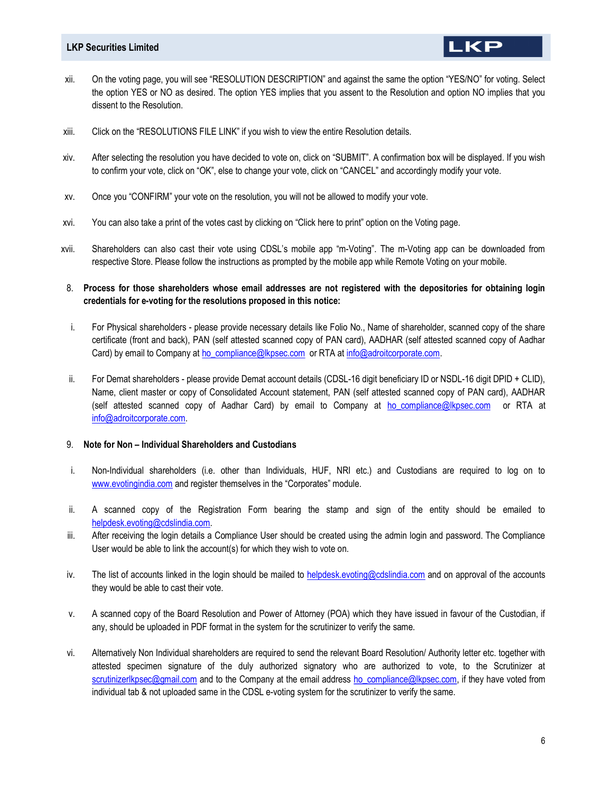xii. On the voting page, you will see "RESOLUTION DESCRIPTION" and against the same the option "YES/NO" for voting. Select the option YES or NO as desired. The option YES implies that you assent to the Resolution and option NO implies that you dissent to the Resolution.

**LKP** 

- xiii. Click on the "RESOLUTIONS FILE LINK" if you wish to view the entire Resolution details.
- xiv. After selecting the resolution you have decided to vote on, click on "SUBMIT". A confirmation box will be displayed. If you wish to confirm your vote, click on "OK", else to change your vote, click on "CANCEL" and accordingly modify your vote.
- xv. Once you "CONFIRM" your vote on the resolution, you will not be allowed to modify your vote.
- xvi. You can also take a print of the votes cast by clicking on "Click here to print" option on the Voting page.
- xvii. Shareholders can also cast their vote using CDSL's mobile app "m-Voting". The m-Voting app can be downloaded from respective Store. Please follow the instructions as prompted by the mobile app while Remote Voting on your mobile.
- 8. Process for those shareholders whose email addresses are not registered with the depositories for obtaining login credentials for e-voting for the resolutions proposed in this notice:
- i. For Physical shareholders please provide necessary details like Folio No., Name of shareholder, scanned copy of the share certificate (front and back), PAN (self attested scanned copy of PAN card), AADHAR (self attested scanned copy of Aadhar Card) by email to Company at ho\_compliance@lkpsec.com or RTA at info@adroitcorporate.com.
- ii. For Demat shareholders please provide Demat account details (CDSL-16 digit beneficiary ID or NSDL-16 digit DPID + CLID), Name, client master or copy of Consolidated Account statement, PAN (self attested scanned copy of PAN card), AADHAR (self attested scanned copy of Aadhar Card) by email to Company at ho compliance@lkpsec.com or RTA at info@adroitcorporate.com.

#### 9. Note for Non – Individual Shareholders and Custodians

- i. Non-Individual shareholders (i.e. other than Individuals, HUF, NRI etc.) and Custodians are required to log on to www.evotingindia.com and register themselves in the "Corporates" module.
- ii. A scanned copy of the Registration Form bearing the stamp and sign of the entity should be emailed to helpdesk.evoting@cdslindia.com.
- iii. After receiving the login details a Compliance User should be created using the admin login and password. The Compliance User would be able to link the account(s) for which they wish to vote on.
- iv. The list of accounts linked in the login should be mailed to helpdesk.evoting@cdslindia.com and on approval of the accounts they would be able to cast their vote.
- v. A scanned copy of the Board Resolution and Power of Attorney (POA) which they have issued in favour of the Custodian, if any, should be uploaded in PDF format in the system for the scrutinizer to verify the same.
- vi. Alternatively Non Individual shareholders are required to send the relevant Board Resolution/ Authority letter etc. together with attested specimen signature of the duly authorized signatory who are authorized to vote, to the Scrutinizer at scrutinizerlkpsec@gmail.com and to the Company at the email address ho compliance@lkpsec.com, if they have voted from individual tab & not uploaded same in the CDSL e-voting system for the scrutinizer to verify the same.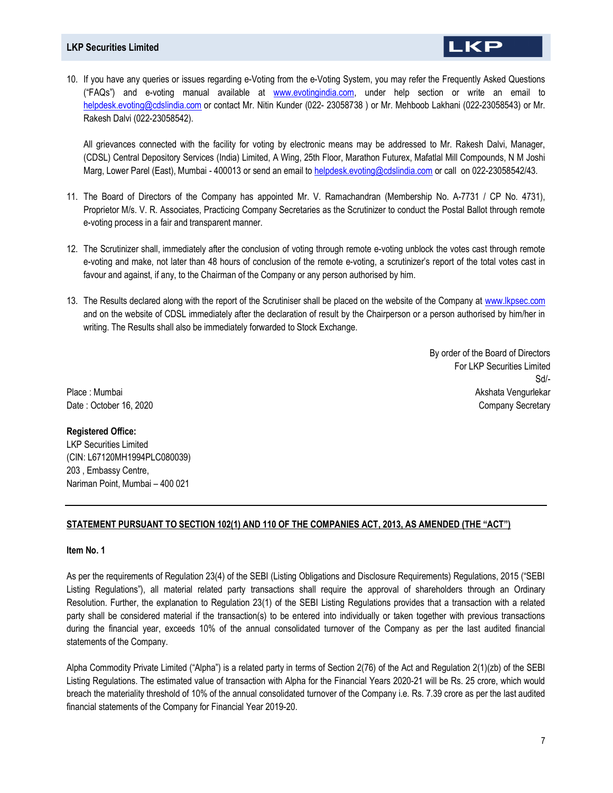10. If you have any queries or issues regarding e-Voting from the e-Voting System, you may refer the Frequently Asked Questions ("FAQs") and e-voting manual available at www.evotingindia.com, under help section or write an email to helpdesk.evoting@cdslindia.com or contact Mr. Nitin Kunder (022- 23058738) or Mr. Mehboob Lakhani (022-23058543) or Mr. Rakesh Dalvi (022-23058542).

All grievances connected with the facility for voting by electronic means may be addressed to Mr. Rakesh Dalvi, Manager, (CDSL) Central Depository Services (India) Limited, A Wing, 25th Floor, Marathon Futurex, Mafatlal Mill Compounds, N M Joshi Marg, Lower Parel (East), Mumbai - 400013 or send an email to helpdesk.evoting@cdslindia.com or call on 022-23058542/43.

- 11. The Board of Directors of the Company has appointed Mr. V. Ramachandran (Membership No. A-7731 / CP No. 4731), Proprietor M/s. V. R. Associates, Practicing Company Secretaries as the Scrutinizer to conduct the Postal Ballot through remote e-voting process in a fair and transparent manner.
- 12. The Scrutinizer shall, immediately after the conclusion of voting through remote e-voting unblock the votes cast through remote e-voting and make, not later than 48 hours of conclusion of the remote e-voting, a scrutinizer's report of the total votes cast in favour and against, if any, to the Chairman of the Company or any person authorised by him.
- 13. The Results declared along with the report of the Scrutiniser shall be placed on the website of the Company at www.lkpsec.com and on the website of CDSL immediately after the declaration of result by the Chairperson or a person authorised by him/her in writing. The Results shall also be immediately forwarded to Stock Exchange.

By order of the Board of Directors For LKP Securities Limited Sd/- Akshata Vengurlekar Company Secretary

LKP

Place : Mumbai Date : October 16, 2020

#### Registered Office:

LKP Securities Limited (CIN: L67120MH1994PLC080039) 203 , Embassy Centre, Nariman Point, Mumbai – 400 021

# STATEMENT PURSUANT TO SECTION 102(1) AND 110 OF THE COMPANIES ACT, 2013, AS AMENDED (THE "ACT")

#### Item No. 1

As per the requirements of Regulation 23(4) of the SEBI (Listing Obligations and Disclosure Requirements) Regulations, 2015 ("SEBI Listing Regulations"), all material related party transactions shall require the approval of shareholders through an Ordinary Resolution. Further, the explanation to Regulation 23(1) of the SEBI Listing Regulations provides that a transaction with a related party shall be considered material if the transaction(s) to be entered into individually or taken together with previous transactions during the financial year, exceeds 10% of the annual consolidated turnover of the Company as per the last audited financial statements of the Company.

Alpha Commodity Private Limited ("Alpha") is a related party in terms of Section 2(76) of the Act and Regulation 2(1)(zb) of the SEBI Listing Regulations. The estimated value of transaction with Alpha for the Financial Years 2020-21 will be Rs. 25 crore, which would breach the materiality threshold of 10% of the annual consolidated turnover of the Company i.e. Rs. 7.39 crore as per the last audited financial statements of the Company for Financial Year 2019-20.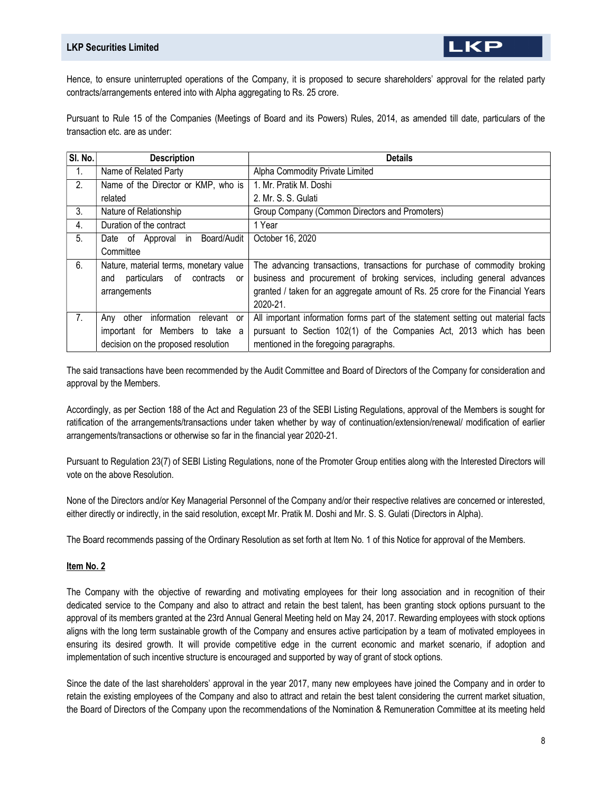K

Pursuant to Rule 15 of the Companies (Meetings of Board and its Powers) Rules, 2014, as amended till date, particulars of the transaction etc. are as under:

| SI. No.        | <b>Description</b>                     | <b>Details</b>                                                                   |
|----------------|----------------------------------------|----------------------------------------------------------------------------------|
| 1.             | Name of Related Party                  | Alpha Commodity Private Limited                                                  |
| 2.             | Name of the Director or KMP, who is    | 1. Mr. Pratik M. Doshi                                                           |
|                | related                                | 2. Mr. S. S. Gulati                                                              |
| $3_{-}$        | Nature of Relationship                 | Group Company (Common Directors and Promoters)                                   |
| 4.             | Duration of the contract               | 1 Year                                                                           |
| 5.             | Date of Approval in Board/Audit        | October 16, 2020                                                                 |
|                | Committee                              |                                                                                  |
| 6.             | Nature, material terms, monetary value | The advancing transactions, transactions for purchase of commodity broking       |
|                | particulars of contracts<br>and<br>or  | business and procurement of broking services, including general advances         |
|                | arrangements                           | granted / taken for an aggregate amount of Rs. 25 crore for the Financial Years  |
|                |                                        | 2020-21                                                                          |
| 7 <sub>1</sub> | Any other<br>information relevant or   | All important information forms part of the statement setting out material facts |
|                | important for Members to take a        | pursuant to Section 102(1) of the Companies Act, 2013 which has been             |
|                | decision on the proposed resolution    | mentioned in the foregoing paragraphs.                                           |

The said transactions have been recommended by the Audit Committee and Board of Directors of the Company for consideration and approval by the Members.

Accordingly, as per Section 188 of the Act and Regulation 23 of the SEBI Listing Regulations, approval of the Members is sought for ratification of the arrangements/transactions under taken whether by way of continuation/extension/renewal/ modification of earlier arrangements/transactions or otherwise so far in the financial year 2020-21.

Pursuant to Regulation 23(7) of SEBI Listing Regulations, none of the Promoter Group entities along with the Interested Directors will vote on the above Resolution.

None of the Directors and/or Key Managerial Personnel of the Company and/or their respective relatives are concerned or interested, either directly or indirectly, in the said resolution, except Mr. Pratik M. Doshi and Mr. S. S. Gulati (Directors in Alpha).

The Board recommends passing of the Ordinary Resolution as set forth at Item No. 1 of this Notice for approval of the Members.

# Item No. 2

The Company with the objective of rewarding and motivating employees for their long association and in recognition of their dedicated service to the Company and also to attract and retain the best talent, has been granting stock options pursuant to the approval of its members granted at the 23rd Annual General Meeting held on May 24, 2017. Rewarding employees with stock options aligns with the long term sustainable growth of the Company and ensures active participation by a team of motivated employees in ensuring its desired growth. It will provide competitive edge in the current economic and market scenario, if adoption and implementation of such incentive structure is encouraged and supported by way of grant of stock options.

Since the date of the last shareholders' approval in the year 2017, many new employees have joined the Company and in order to retain the existing employees of the Company and also to attract and retain the best talent considering the current market situation, the Board of Directors of the Company upon the recommendations of the Nomination & Remuneration Committee at its meeting held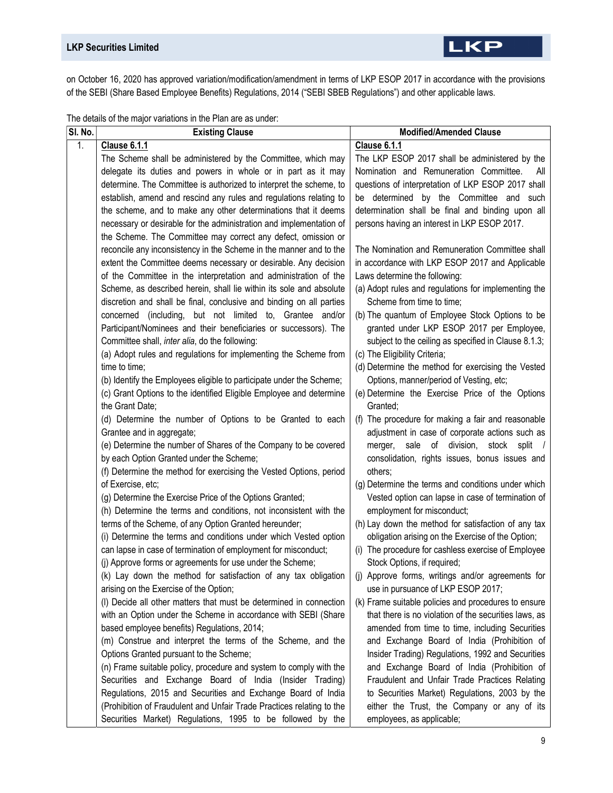on October 16, 2020 has approved variation/modification/amendment in terms of LKP ESOP 2017 in accordance with the provisions of the SEBI (Share Based Employee Benefits) Regulations, 2014 ("SEBI SBEB Regulations") and other applicable laws.

| SI. No. | The advancer the major randtrone in the Fight are<br><b>Existing Clause</b>                                                                 | <b>Modified/Amended Clause</b>                                                                           |
|---------|---------------------------------------------------------------------------------------------------------------------------------------------|----------------------------------------------------------------------------------------------------------|
| 1.      | <b>Clause 6.1.1</b>                                                                                                                         | <b>Clause 6.1.1</b>                                                                                      |
|         | The Scheme shall be administered by the Committee, which may                                                                                | The LKP ESOP 2017 shall be administered by the                                                           |
|         | delegate its duties and powers in whole or in part as it may                                                                                | Nomination and Remuneration Committee.<br>All                                                            |
|         | determine. The Committee is authorized to interpret the scheme, to                                                                          | questions of interpretation of LKP ESOP 2017 shall                                                       |
|         | establish, amend and rescind any rules and regulations relating to                                                                          | be determined by the Committee and such                                                                  |
|         | the scheme, and to make any other determinations that it deems                                                                              | determination shall be final and binding upon all                                                        |
|         | necessary or desirable for the administration and implementation of                                                                         | persons having an interest in LKP ESOP 2017.                                                             |
|         | the Scheme. The Committee may correct any defect, omission or                                                                               |                                                                                                          |
|         | reconcile any inconsistency in the Scheme in the manner and to the                                                                          | The Nomination and Remuneration Committee shall                                                          |
|         | extent the Committee deems necessary or desirable. Any decision                                                                             | in accordance with LKP ESOP 2017 and Applicable                                                          |
|         | of the Committee in the interpretation and administration of the                                                                            | Laws determine the following:                                                                            |
|         | Scheme, as described herein, shall lie within its sole and absolute<br>discretion and shall be final, conclusive and binding on all parties | (a) Adopt rules and regulations for implementing the<br>Scheme from time to time;                        |
|         | concerned (including, but not limited to, Grantee and/or                                                                                    | (b) The quantum of Employee Stock Options to be                                                          |
|         | Participant/Nominees and their beneficiaries or successors). The                                                                            | granted under LKP ESOP 2017 per Employee,                                                                |
|         | Committee shall, inter alia, do the following:                                                                                              | subject to the ceiling as specified in Clause 8.1.3;                                                     |
|         | (a) Adopt rules and regulations for implementing the Scheme from                                                                            | (c) The Eligibility Criteria;                                                                            |
|         | time to time;                                                                                                                               | (d) Determine the method for exercising the Vested                                                       |
|         | (b) Identify the Employees eligible to participate under the Scheme;                                                                        | Options, manner/period of Vesting, etc;                                                                  |
|         | (c) Grant Options to the identified Eligible Employee and determine                                                                         | (e) Determine the Exercise Price of the Options                                                          |
|         | the Grant Date:                                                                                                                             | Granted;                                                                                                 |
|         | (d) Determine the number of Options to be Granted to each                                                                                   | (f) The procedure for making a fair and reasonable                                                       |
|         | Grantee and in aggregate;                                                                                                                   | adjustment in case of corporate actions such as                                                          |
|         | (e) Determine the number of Shares of the Company to be covered                                                                             | merger, sale of division, stock split /                                                                  |
|         | by each Option Granted under the Scheme;                                                                                                    | consolidation, rights issues, bonus issues and                                                           |
|         | (f) Determine the method for exercising the Vested Options, period                                                                          | others;                                                                                                  |
|         | of Exercise, etc;                                                                                                                           | (g) Determine the terms and conditions under which                                                       |
|         | (g) Determine the Exercise Price of the Options Granted;                                                                                    | Vested option can lapse in case of termination of                                                        |
|         | (h) Determine the terms and conditions, not inconsistent with the                                                                           | employment for misconduct;                                                                               |
|         | terms of the Scheme, of any Option Granted hereunder;<br>(i) Determine the terms and conditions under which Vested option                   | (h) Lay down the method for satisfaction of any tax<br>obligation arising on the Exercise of the Option; |
|         | can lapse in case of termination of employment for misconduct;                                                                              | (i) The procedure for cashless exercise of Employee                                                      |
|         | (i) Approve forms or agreements for use under the Scheme;                                                                                   | Stock Options, if required;                                                                              |
|         | (k) Lay down the method for satisfaction of any tax obligation                                                                              | (j) Approve forms, writings and/or agreements for                                                        |
|         | arising on the Exercise of the Option;                                                                                                      | use in pursuance of LKP ESOP 2017;                                                                       |
|         | (I) Decide all other matters that must be determined in connection                                                                          | (k) Frame suitable policies and procedures to ensure                                                     |
|         | with an Option under the Scheme in accordance with SEBI (Share                                                                              | that there is no violation of the securities laws, as                                                    |
|         | based employee benefits) Regulations, 2014;                                                                                                 | amended from time to time, including Securities                                                          |
|         | (m) Construe and interpret the terms of the Scheme, and the                                                                                 | and Exchange Board of India (Prohibition of                                                              |
|         | Options Granted pursuant to the Scheme;                                                                                                     | Insider Trading) Regulations, 1992 and Securities                                                        |
|         | (n) Frame suitable policy, procedure and system to comply with the                                                                          | and Exchange Board of India (Prohibition of                                                              |
|         | Securities and Exchange Board of India (Insider Trading)                                                                                    | Fraudulent and Unfair Trade Practices Relating                                                           |
|         | Regulations, 2015 and Securities and Exchange Board of India                                                                                | to Securities Market) Regulations, 2003 by the                                                           |
|         | (Prohibition of Fraudulent and Unfair Trade Practices relating to the                                                                       | either the Trust, the Company or any of its                                                              |
|         | Securities Market) Regulations, 1995 to be followed by the                                                                                  | employees, as applicable;                                                                                |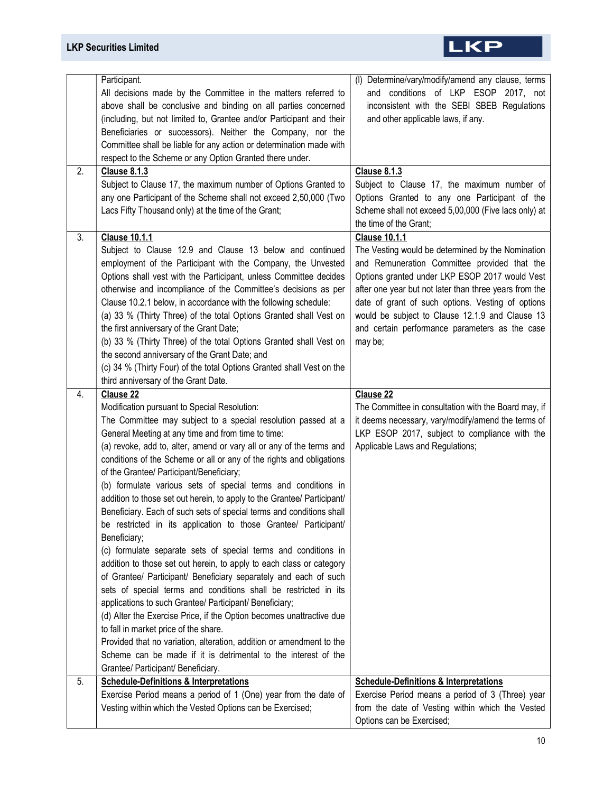# LKP

| 2. | Participant.<br>All decisions made by the Committee in the matters referred to<br>above shall be conclusive and binding on all parties concerned<br>(including, but not limited to, Grantee and/or Participant and their<br>Beneficiaries or successors). Neither the Company, nor the<br>Committee shall be liable for any action or determination made with<br>respect to the Scheme or any Option Granted there under.<br><b>Clause 8.1.3</b><br>Subject to Clause 17, the maximum number of Options Granted to<br>any one Participant of the Scheme shall not exceed 2,50,000 (Two                                                                                                                                                                                                                                                                                                                                                                                                                                                                                                                                                                                                                                                                                                                                           | (I) Determine/vary/modify/amend any clause, terms<br>and conditions of LKP ESOP 2017, not<br>inconsistent with the SEBI SBEB Regulations<br>and other applicable laws, if any.<br><b>Clause 8.1.3</b><br>Subject to Clause 17, the maximum number of<br>Options Granted to any one Participant of the                                                                                                      |
|----|----------------------------------------------------------------------------------------------------------------------------------------------------------------------------------------------------------------------------------------------------------------------------------------------------------------------------------------------------------------------------------------------------------------------------------------------------------------------------------------------------------------------------------------------------------------------------------------------------------------------------------------------------------------------------------------------------------------------------------------------------------------------------------------------------------------------------------------------------------------------------------------------------------------------------------------------------------------------------------------------------------------------------------------------------------------------------------------------------------------------------------------------------------------------------------------------------------------------------------------------------------------------------------------------------------------------------------|------------------------------------------------------------------------------------------------------------------------------------------------------------------------------------------------------------------------------------------------------------------------------------------------------------------------------------------------------------------------------------------------------------|
|    | Lacs Fifty Thousand only) at the time of the Grant;                                                                                                                                                                                                                                                                                                                                                                                                                                                                                                                                                                                                                                                                                                                                                                                                                                                                                                                                                                                                                                                                                                                                                                                                                                                                              | Scheme shall not exceed 5,00,000 (Five lacs only) at<br>the time of the Grant;                                                                                                                                                                                                                                                                                                                             |
| 3. | <b>Clause 10.1.1</b><br>Subject to Clause 12.9 and Clause 13 below and continued<br>employment of the Participant with the Company, the Unvested<br>Options shall vest with the Participant, unless Committee decides<br>otherwise and incompliance of the Committee's decisions as per<br>Clause 10.2.1 below, in accordance with the following schedule:<br>(a) 33 % (Thirty Three) of the total Options Granted shall Vest on<br>the first anniversary of the Grant Date;<br>(b) 33 % (Thirty Three) of the total Options Granted shall Vest on<br>the second anniversary of the Grant Date; and<br>(c) 34 % (Thirty Four) of the total Options Granted shall Vest on the<br>third anniversary of the Grant Date.                                                                                                                                                                                                                                                                                                                                                                                                                                                                                                                                                                                                             | <b>Clause 10.1.1</b><br>The Vesting would be determined by the Nomination<br>and Remuneration Committee provided that the<br>Options granted under LKP ESOP 2017 would Vest<br>after one year but not later than three years from the<br>date of grant of such options. Vesting of options<br>would be subject to Clause 12.1.9 and Clause 13<br>and certain performance parameters as the case<br>may be; |
| 4. | Clause 22<br>Modification pursuant to Special Resolution:<br>The Committee may subject to a special resolution passed at a<br>General Meeting at any time and from time to time:<br>(a) revoke, add to, alter, amend or vary all or any of the terms and<br>conditions of the Scheme or all or any of the rights and obligations<br>of the Grantee/ Participant/Beneficiary;<br>(b) formulate various sets of special terms and conditions in<br>addition to those set out herein, to apply to the Grantee/ Participant/<br>Beneficiary. Each of such sets of special terms and conditions shall<br>be restricted in its application to those Grantee/ Participant/<br>Beneficiary;<br>(c) formulate separate sets of special terms and conditions in<br>addition to those set out herein, to apply to each class or category<br>of Grantee/ Participant/ Beneficiary separately and each of such<br>sets of special terms and conditions shall be restricted in its<br>applications to such Grantee/ Participant/ Beneficiary;<br>(d) Alter the Exercise Price, if the Option becomes unattractive due<br>to fall in market price of the share.<br>Provided that no variation, alteration, addition or amendment to the<br>Scheme can be made if it is detrimental to the interest of the<br>Grantee/ Participant/ Beneficiary. | <b>Clause 22</b><br>The Committee in consultation with the Board may, if<br>it deems necessary, vary/modify/amend the terms of<br>LKP ESOP 2017, subject to compliance with the<br>Applicable Laws and Regulations;                                                                                                                                                                                        |
| 5. | <b>Schedule-Definitions &amp; Interpretations</b><br>Exercise Period means a period of 1 (One) year from the date of<br>Vesting within which the Vested Options can be Exercised;                                                                                                                                                                                                                                                                                                                                                                                                                                                                                                                                                                                                                                                                                                                                                                                                                                                                                                                                                                                                                                                                                                                                                | <b>Schedule-Definitions &amp; Interpretations</b><br>Exercise Period means a period of 3 (Three) year<br>from the date of Vesting within which the Vested<br>Options can be Exercised;                                                                                                                                                                                                                     |